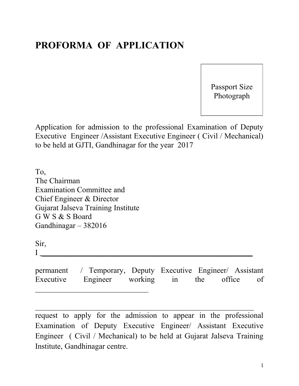## **PROFORMA OF APPLICATION**

Passport Size Photograph

Application for admission to the professional Examination of Deputy Executive Engineer /Assistant Executive Engineer ( Civil / Mechanical) to be held at GJTI, Gandhinagar for the year 2017

To, The Chairman Examination Committee and Chief Engineer & Director Gujarat Jalseva Training Institute G W S & S Board Gandhinagar – 382016

Sir,

I \_\_\_\_\_\_\_\_\_\_\_\_\_\_\_\_\_\_\_\_\_\_\_\_\_\_\_\_\_\_\_\_\_\_\_\_\_\_\_\_\_\_\_\_\_\_\_\_\_\_\_\_\_\_

permanent / Temporary, Deputy Executive Engineer/ Assistant Executive Engineer working in the office of  $\mathcal{L}_\text{max}$  , where  $\mathcal{L}_\text{max}$  , we are the set of the set of the set of the set of the set of the set of the set of the set of the set of the set of the set of the set of the set of the set of the set of the set of

request to apply for the admission to appear in the professional Examination of Deputy Executive Engineer/ Assistant Executive Engineer ( Civil / Mechanical) to be held at Gujarat Jalseva Training Institute, Gandhinagar centre.

 $\mathcal{L}_\text{max}$  , and the contract of the contract of the contract of the contract of the contract of the contract of the contract of the contract of the contract of the contract of the contract of the contract of the contr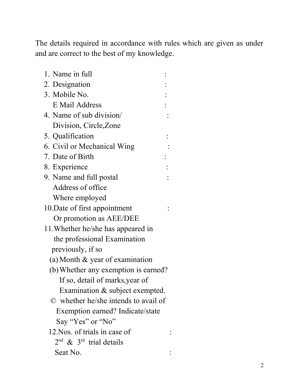The details required in accordance with rules which are given as under and are correct to the best of my knowledge.

| 1. Name in full                      |                |
|--------------------------------------|----------------|
| 2. Designation                       |                |
| 3. Mobile No.                        |                |
| E Mail Address                       |                |
| 4. Name of sub division/             |                |
| Division, Circle, Zone               |                |
| 5. Qualification                     |                |
| 6. Civil or Mechanical Wing          |                |
| 7. Date of Birth                     |                |
| 8. Experience                        | $\ddot{\cdot}$ |
| 9. Name and full postal              |                |
| Address of office                    |                |
| Where employed                       |                |
| 10. Date of first appointment        |                |
| Or promotion as AEE/DEE              |                |
| 11. Whether he/she has appeared in   |                |
| the professional Examination         |                |
| previously, if so                    |                |
| (a) Month $\&$ year of examination   |                |
| (b) Whether any exemption is earned? |                |
| If so, detail of marks, year of      |                |
| Examination & subject exempted.      |                |
| © whether he/she intends to avail of |                |
| Exemption earned? Indicate/state     |                |
| Say "Yes" or "No"                    |                |
| 12. Nos. of trials in case of        |                |
| $2nd$ & $3rd$ trial details          |                |
| Seat No.                             |                |
|                                      |                |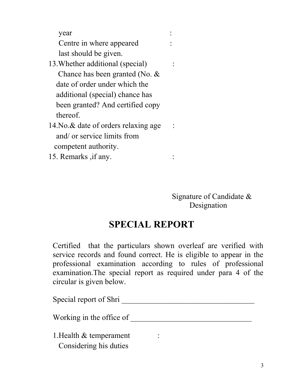year : Centre in where appeared last should be given. 13.Whether additional (special) : Chance has been granted (No. & date of order under which the

 additional (special) chance has been granted? And certified copy thereof.

14. No. & date of orders relaxing age : and/ or service limits from competent authority.

15. Remarks ,if any. :

 Signature of Candidate & Designation

## **SPECIAL REPORT**

Certified that the particulars shown overleaf are verified with service records and found correct. He is eligible to appear in the professional examination according to rules of professional examination.The special report as required under para 4 of the circular is given below.

Special report of Shri \_\_\_\_\_\_\_\_\_\_\_\_\_\_\_\_\_\_\_\_\_\_\_\_\_\_\_\_\_\_\_\_\_\_ Working in the office of \_\_\_\_\_\_\_\_\_\_\_\_\_\_\_\_\_\_\_\_\_\_\_\_\_\_\_\_\_\_\_ 1. Health & temperament : Considering his duties